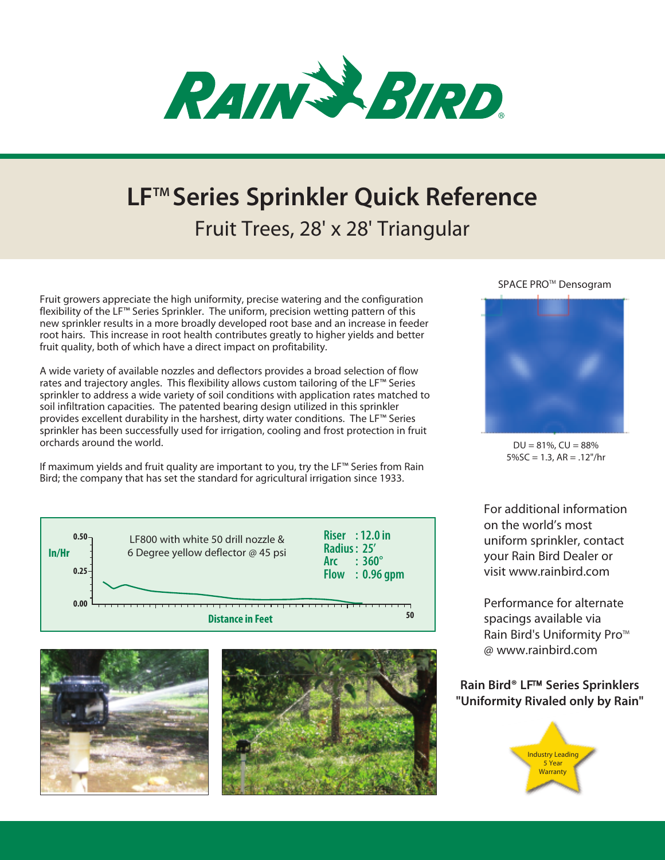

## **LFTM Series Sprinkler Quick Reference** Fruit Trees, 28' x 28' Triangular

Fruit growers appreciate the high uniformity, precise watering and the configuration flexibility of the LF™ Series Sprinkler. The uniform, precision wetting pattern of this new sprinkler results in a more broadly developed root base and an increase in feeder root hairs. This increase in root health contributes greatly to higher yields and better fruit quality, both of which have a direct impact on profitability.

A wide variety of available nozzles and deflectors provides a broad selection of flow rates and trajectory angles. This flexibility allows custom tailoring of the LF™ Series sprinkler to address a wide variety of soil conditions with application rates matched to soil infiltration capacities. The patented bearing design utilized in this sprinkler provides excellent durability in the harshest, dirty water conditions. The LF™ Series sprinkler has been successfully used for irrigation, cooling and frost protection in fruit orchards around the world.

If maximum yields and fruit quality are important to you, try the LF™ Series from Rain Bird; the company that has set the standard for agricultural irrigation since 1933.





SPACE PRO<sup>™</sup> Densogram



 $DU = 81\%$ ,  $CU = 88\%$  $5\%$ SC = 1.3, AR = .12"/hr

For additional information on the world's most uniform sprinkler, contact your Rain Bird Dealer or visit www.rainbird.com

Performance for alternate spacings available via Rain Bird's Uniformity Pro™ @ www.rainbird.com

## **Rain Bird<sup>®</sup> LF<sup>™</sup> Series Sprinklers "Uniformity Rivaled only by Rain"**